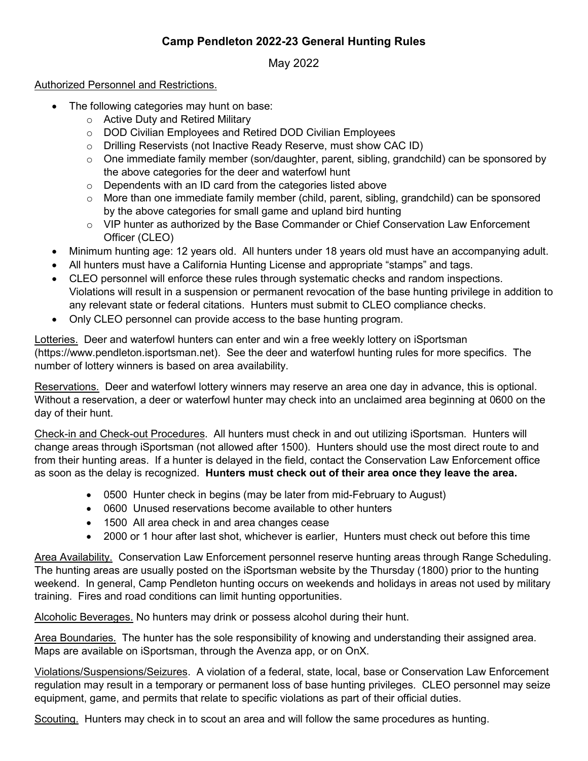## **Camp Pendleton 2022-23 General Hunting Rules**

May 2022

## Authorized Personnel and Restrictions.

- The following categories may hunt on base:
	- o Active Duty and Retired Military
	- o DOD Civilian Employees and Retired DOD Civilian Employees
	- o Drilling Reservists (not Inactive Ready Reserve, must show CAC ID)
	- o One immediate family member (son/daughter, parent, sibling, grandchild) can be sponsored by the above categories for the deer and waterfowl hunt
	- $\circ$  Dependents with an ID card from the categories listed above
	- $\circ$  More than one immediate family member (child, parent, sibling, grandchild) can be sponsored by the above categories for small game and upland bird hunting
	- $\circ$  VIP hunter as authorized by the Base Commander or Chief Conservation Law Enforcement Officer (CLEO)
- Minimum hunting age: 12 years old. All hunters under 18 years old must have an accompanying adult.
- All hunters must have a California Hunting License and appropriate "stamps" and tags.
- CLEO personnel will enforce these rules through systematic checks and random inspections. Violations will result in a suspension or permanent revocation of the base hunting privilege in addition to any relevant state or federal citations. Hunters must submit to CLEO compliance checks.
- Only CLEO personnel can provide access to the base hunting program.

Lotteries. Deer and waterfowl hunters can enter and win a free weekly lottery on iSportsman (https://www.pendleton.isportsman.net). See the deer and waterfowl hunting rules for more specifics. The number of lottery winners is based on area availability.

Reservations. Deer and waterfowl lottery winners may reserve an area one day in advance, this is optional. Without a reservation, a deer or waterfowl hunter may check into an unclaimed area beginning at 0600 on the day of their hunt.

Check-in and Check-out Procedures. All hunters must check in and out utilizing iSportsman. Hunters will change areas through iSportsman (not allowed after 1500). Hunters should use the most direct route to and from their hunting areas. If a hunter is delayed in the field, contact the Conservation Law Enforcement office as soon as the delay is recognized. **Hunters must check out of their area once they leave the area.** 

- 0500 Hunter check in begins (may be later from mid-February to August)
- 0600 Unused reservations become available to other hunters
- 1500 All area check in and area changes cease
- 2000 or 1 hour after last shot, whichever is earlier, Hunters must check out before this time

Area Availability. Conservation Law Enforcement personnel reserve hunting areas through Range Scheduling. The hunting areas are usually posted on the iSportsman website by the Thursday (1800) prior to the hunting weekend. In general, Camp Pendleton hunting occurs on weekends and holidays in areas not used by military training. Fires and road conditions can limit hunting opportunities.

Alcoholic Beverages. No hunters may drink or possess alcohol during their hunt.

Area Boundaries. The hunter has the sole responsibility of knowing and understanding their assigned area. Maps are available on iSportsman, through the Avenza app, or on OnX.

Violations/Suspensions/Seizures. A violation of a federal, state, local, base or Conservation Law Enforcement regulation may result in a temporary or permanent loss of base hunting privileges. CLEO personnel may seize equipment, game, and permits that relate to specific violations as part of their official duties.

Scouting. Hunters may check in to scout an area and will follow the same procedures as hunting.